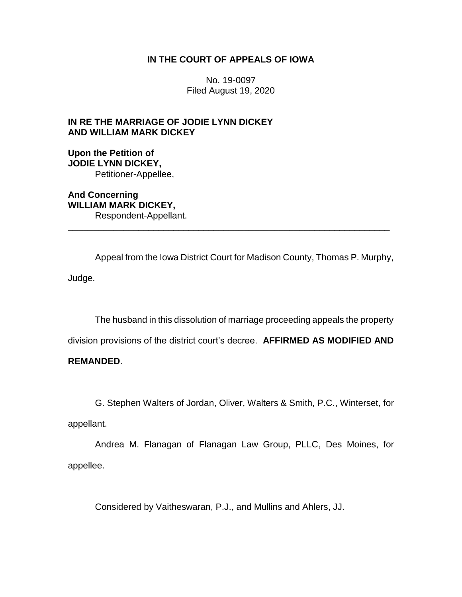# **IN THE COURT OF APPEALS OF IOWA**

No. 19-0097 Filed August 19, 2020

# **IN RE THE MARRIAGE OF JODIE LYNN DICKEY AND WILLIAM MARK DICKEY**

**Upon the Petition of JODIE LYNN DICKEY,** Petitioner-Appellee,

**And Concerning WILLIAM MARK DICKEY,** Respondent-Appellant.

Appeal from the Iowa District Court for Madison County, Thomas P. Murphy, Judge.

\_\_\_\_\_\_\_\_\_\_\_\_\_\_\_\_\_\_\_\_\_\_\_\_\_\_\_\_\_\_\_\_\_\_\_\_\_\_\_\_\_\_\_\_\_\_\_\_\_\_\_\_\_\_\_\_\_\_\_\_\_\_\_\_

The husband in this dissolution of marriage proceeding appeals the property

division provisions of the district court's decree. **AFFIRMED AS MODIFIED AND** 

# **REMANDED**.

G. Stephen Walters of Jordan, Oliver, Walters & Smith, P.C., Winterset, for

appellant.

Andrea M. Flanagan of Flanagan Law Group, PLLC, Des Moines, for appellee.

Considered by Vaitheswaran, P.J., and Mullins and Ahlers, JJ.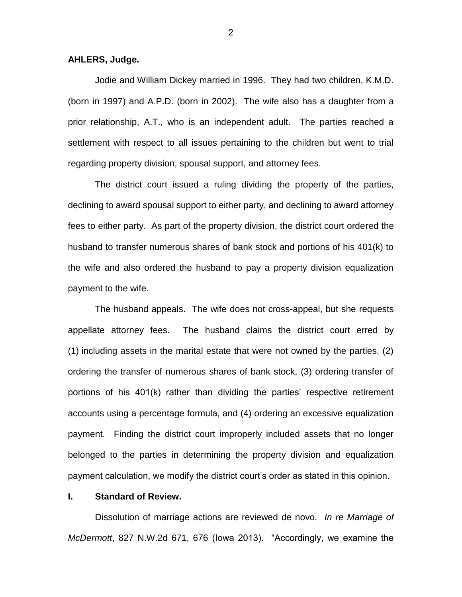**AHLERS, Judge.**

Jodie and William Dickey married in 1996. They had two children, K.M.D. (born in 1997) and A.P.D. (born in 2002). The wife also has a daughter from a prior relationship, A.T., who is an independent adult. The parties reached a settlement with respect to all issues pertaining to the children but went to trial regarding property division, spousal support, and attorney fees.

The district court issued a ruling dividing the property of the parties, declining to award spousal support to either party, and declining to award attorney fees to either party. As part of the property division, the district court ordered the husband to transfer numerous shares of bank stock and portions of his 401(k) to the wife and also ordered the husband to pay a property division equalization payment to the wife.

The husband appeals. The wife does not cross-appeal, but she requests appellate attorney fees. The husband claims the district court erred by (1) including assets in the marital estate that were not owned by the parties, (2) ordering the transfer of numerous shares of bank stock, (3) ordering transfer of portions of his 401(k) rather than dividing the parties' respective retirement accounts using a percentage formula, and (4) ordering an excessive equalization payment. Finding the district court improperly included assets that no longer belonged to the parties in determining the property division and equalization payment calculation, we modify the district court's order as stated in this opinion.

#### **I. Standard of Review.**

Dissolution of marriage actions are reviewed de novo. *In re Marriage of McDermott*, 827 N.W.2d 671, 676 (Iowa 2013). "Accordingly, we examine the

2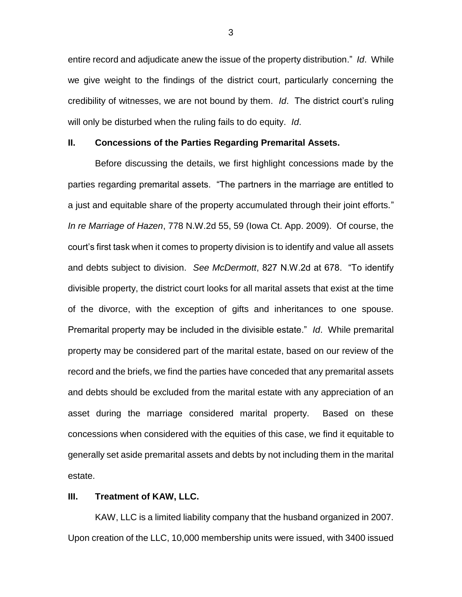entire record and adjudicate anew the issue of the property distribution." *Id*. While we give weight to the findings of the district court, particularly concerning the credibility of witnesses, we are not bound by them. *Id*. The district court's ruling will only be disturbed when the ruling fails to do equity. *Id*.

## **II. Concessions of the Parties Regarding Premarital Assets.**

Before discussing the details, we first highlight concessions made by the parties regarding premarital assets. "The partners in the marriage are entitled to a just and equitable share of the property accumulated through their joint efforts." *In re Marriage of Hazen*, 778 N.W.2d 55, 59 (Iowa Ct. App. 2009). Of course, the court's first task when it comes to property division is to identify and value all assets and debts subject to division. *See McDermott*, 827 N.W.2d at 678. "To identify divisible property, the district court looks for all marital assets that exist at the time of the divorce, with the exception of gifts and inheritances to one spouse. Premarital property may be included in the divisible estate." *Id*. While premarital property may be considered part of the marital estate, based on our review of the record and the briefs, we find the parties have conceded that any premarital assets and debts should be excluded from the marital estate with any appreciation of an asset during the marriage considered marital property. Based on these concessions when considered with the equities of this case, we find it equitable to generally set aside premarital assets and debts by not including them in the marital estate.

#### **III. Treatment of KAW, LLC.**

KAW, LLC is a limited liability company that the husband organized in 2007. Upon creation of the LLC, 10,000 membership units were issued, with 3400 issued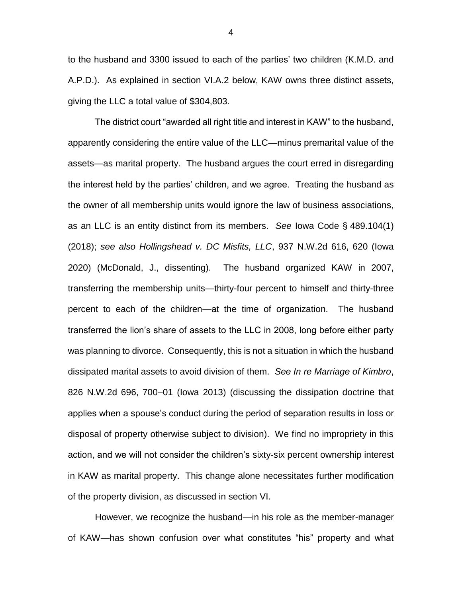to the husband and 3300 issued to each of the parties' two children (K.M.D. and A.P.D.). As explained in section VI.A.2 below, KAW owns three distinct assets, giving the LLC a total value of \$304,803.

The district court "awarded all right title and interest in KAW" to the husband, apparently considering the entire value of the LLC—minus premarital value of the assets—as marital property. The husband argues the court erred in disregarding the interest held by the parties' children, and we agree. Treating the husband as the owner of all membership units would ignore the law of business associations, as an LLC is an entity distinct from its members. *See* Iowa Code § 489.104(1) (2018); *see also Hollingshead v. DC Misfits, LLC*, 937 N.W.2d 616, 620 (Iowa 2020) (McDonald, J., dissenting). The husband organized KAW in 2007, transferring the membership units—thirty-four percent to himself and thirty-three percent to each of the children—at the time of organization. The husband transferred the lion's share of assets to the LLC in 2008, long before either party was planning to divorce. Consequently, this is not a situation in which the husband dissipated marital assets to avoid division of them. *See In re Marriage of Kimbro*, 826 N.W.2d 696, 700–01 (Iowa 2013) (discussing the dissipation doctrine that applies when a spouse's conduct during the period of separation results in loss or disposal of property otherwise subject to division). We find no impropriety in this action, and we will not consider the children's sixty-six percent ownership interest in KAW as marital property. This change alone necessitates further modification of the property division, as discussed in section VI.

However, we recognize the husband—in his role as the member-manager of KAW—has shown confusion over what constitutes "his" property and what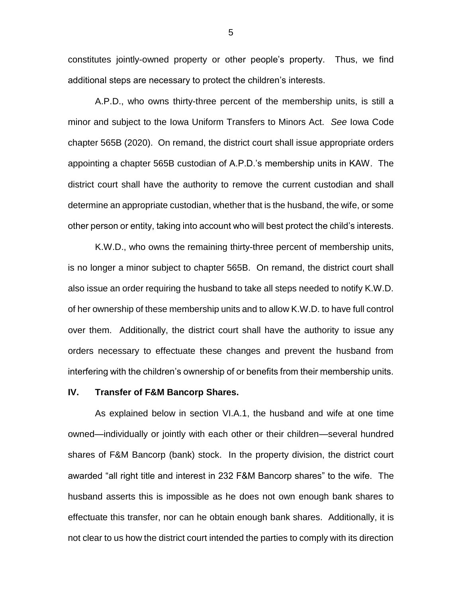constitutes jointly-owned property or other people's property. Thus, we find additional steps are necessary to protect the children's interests.

A.P.D., who owns thirty-three percent of the membership units, is still a minor and subject to the Iowa Uniform Transfers to Minors Act. *See* Iowa Code chapter 565B (2020). On remand, the district court shall issue appropriate orders appointing a chapter 565B custodian of A.P.D.'s membership units in KAW. The district court shall have the authority to remove the current custodian and shall determine an appropriate custodian, whether that is the husband, the wife, or some other person or entity, taking into account who will best protect the child's interests.

K.W.D., who owns the remaining thirty-three percent of membership units, is no longer a minor subject to chapter 565B. On remand, the district court shall also issue an order requiring the husband to take all steps needed to notify K.W.D. of her ownership of these membership units and to allow K.W.D. to have full control over them. Additionally, the district court shall have the authority to issue any orders necessary to effectuate these changes and prevent the husband from interfering with the children's ownership of or benefits from their membership units.

#### **IV. Transfer of F&M Bancorp Shares.**

As explained below in section VI.A.1, the husband and wife at one time owned—individually or jointly with each other or their children—several hundred shares of F&M Bancorp (bank) stock. In the property division, the district court awarded "all right title and interest in 232 F&M Bancorp shares" to the wife. The husband asserts this is impossible as he does not own enough bank shares to effectuate this transfer, nor can he obtain enough bank shares. Additionally, it is not clear to us how the district court intended the parties to comply with its direction

5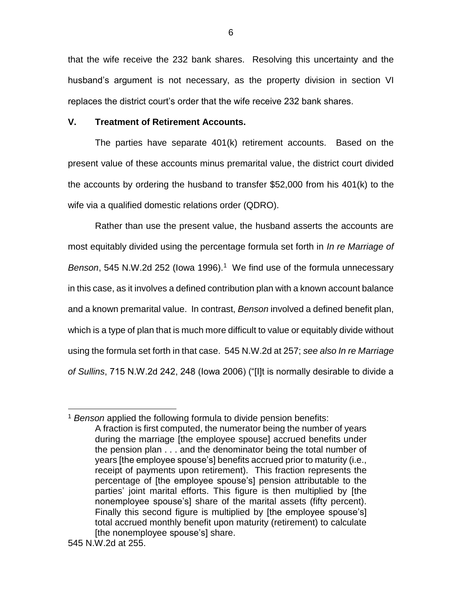that the wife receive the 232 bank shares. Resolving this uncertainty and the husband's argument is not necessary, as the property division in section VI replaces the district court's order that the wife receive 232 bank shares.

## **V. Treatment of Retirement Accounts.**

The parties have separate 401(k) retirement accounts. Based on the present value of these accounts minus premarital value, the district court divided the accounts by ordering the husband to transfer \$52,000 from his 401(k) to the wife via a qualified domestic relations order (QDRO).

Rather than use the present value, the husband asserts the accounts are most equitably divided using the percentage formula set forth in *In re Marriage of*  Benson, 545 N.W.2d 252 (lowa 1996).<sup>1</sup> We find use of the formula unnecessary in this case, as it involves a defined contribution plan with a known account balance and a known premarital value. In contrast, *Benson* involved a defined benefit plan, which is a type of plan that is much more difficult to value or equitably divide without using the formula set forth in that case. 545 N.W.2d at 257; *see also In re Marriage of Sullins*, 715 N.W.2d 242, 248 (Iowa 2006) ("[I]t is normally desirable to divide a

<sup>1</sup> *Benson* applied the following formula to divide pension benefits: A fraction is first computed, the numerator being the number of years during the marriage [the employee spouse] accrued benefits under the pension plan . . . and the denominator being the total number of years [the employee spouse's] benefits accrued prior to maturity (i.e., receipt of payments upon retirement). This fraction represents the percentage of [the employee spouse's] pension attributable to the parties' joint marital efforts. This figure is then multiplied by [the nonemployee spouse's] share of the marital assets (fifty percent). Finally this second figure is multiplied by [the employee spouse's] total accrued monthly benefit upon maturity (retirement) to calculate [the nonemployee spouse's] share.

<sup>545</sup> N.W.2d at 255.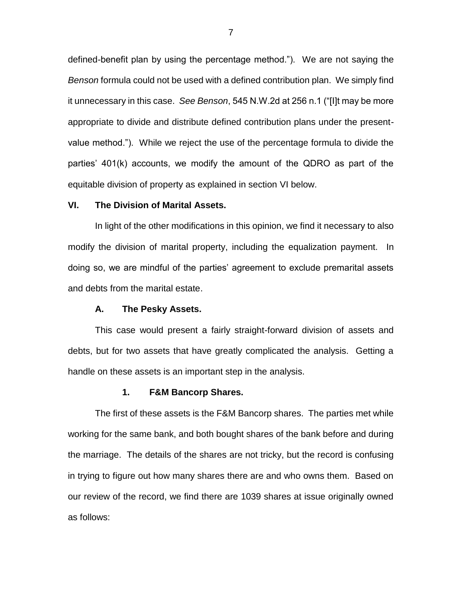defined-benefit plan by using the percentage method."). We are not saying the *Benson* formula could not be used with a defined contribution plan. We simply find it unnecessary in this case. *See Benson*, 545 N.W.2d at 256 n.1 ("[I]t may be more appropriate to divide and distribute defined contribution plans under the presentvalue method."). While we reject the use of the percentage formula to divide the parties' 401(k) accounts, we modify the amount of the QDRO as part of the equitable division of property as explained in section VI below.

### **VI. The Division of Marital Assets.**

In light of the other modifications in this opinion, we find it necessary to also modify the division of marital property, including the equalization payment. In doing so, we are mindful of the parties' agreement to exclude premarital assets and debts from the marital estate.

#### **A. The Pesky Assets.**

This case would present a fairly straight-forward division of assets and debts, but for two assets that have greatly complicated the analysis. Getting a handle on these assets is an important step in the analysis.

#### **1. F&M Bancorp Shares.**

The first of these assets is the F&M Bancorp shares. The parties met while working for the same bank, and both bought shares of the bank before and during the marriage. The details of the shares are not tricky, but the record is confusing in trying to figure out how many shares there are and who owns them. Based on our review of the record, we find there are 1039 shares at issue originally owned as follows: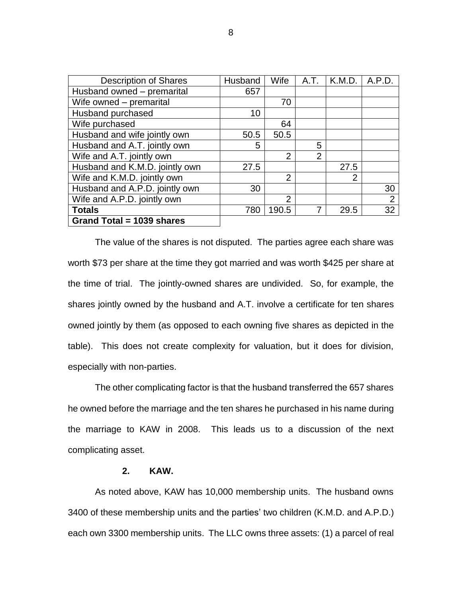| <b>Description of Shares</b>   | Husband | Wife           | A.T.           | K.M.D.         | A.P.D.         |
|--------------------------------|---------|----------------|----------------|----------------|----------------|
| Husband owned - premarital     | 657     |                |                |                |                |
| Wife owned – premarital        |         | 70             |                |                |                |
| Husband purchased              | 10      |                |                |                |                |
| Wife purchased                 |         | 64             |                |                |                |
| Husband and wife jointly own   | 50.5    | 50.5           |                |                |                |
| Husband and A.T. jointly own   | 5       |                | 5              |                |                |
| Wife and A.T. jointly own      |         | $\overline{2}$ | $\overline{2}$ |                |                |
| Husband and K.M.D. jointly own | 27.5    |                |                | 27.5           |                |
| Wife and K.M.D. jointly own    |         | $\overline{2}$ |                | $\overline{2}$ |                |
| Husband and A.P.D. jointly own | 30      |                |                |                | 30             |
| Wife and A.P.D. jointly own    |         | $\overline{2}$ |                |                | $\overline{2}$ |
| <b>Totals</b>                  | 780     | 190.5          | 7              | 29.5           | 32             |
| Grand Total = 1039 shares      |         |                |                |                |                |

The value of the shares is not disputed. The parties agree each share was worth \$73 per share at the time they got married and was worth \$425 per share at the time of trial. The jointly-owned shares are undivided. So, for example, the shares jointly owned by the husband and A.T. involve a certificate for ten shares owned jointly by them (as opposed to each owning five shares as depicted in the table). This does not create complexity for valuation, but it does for division, especially with non-parties.

The other complicating factor is that the husband transferred the 657 shares he owned before the marriage and the ten shares he purchased in his name during the marriage to KAW in 2008. This leads us to a discussion of the next complicating asset.

## **2. KAW.**

As noted above, KAW has 10,000 membership units. The husband owns 3400 of these membership units and the parties' two children (K.M.D. and A.P.D.) each own 3300 membership units. The LLC owns three assets: (1) a parcel of real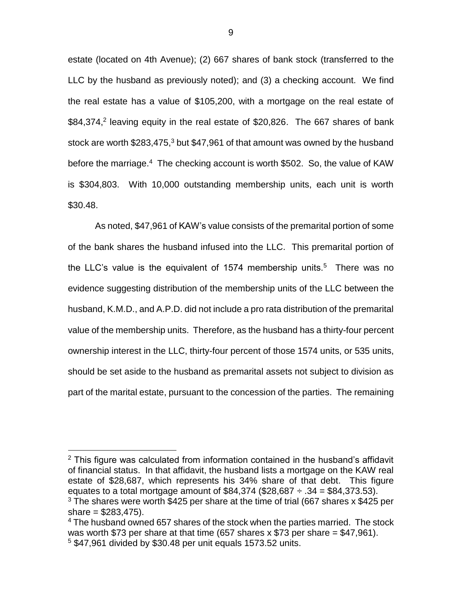estate (located on 4th Avenue); (2) 667 shares of bank stock (transferred to the LLC by the husband as previously noted); and (3) a checking account. We find the real estate has a value of \$105,200, with a mortgage on the real estate of \$84,374,<sup>2</sup> leaving equity in the real estate of \$20,826. The 667 shares of bank stock are worth  $$283,475$ <sup>3</sup> but  $$47,961$  of that amount was owned by the husband before the marriage.<sup>4</sup> The checking account is worth \$502. So, the value of KAW is \$304,803. With 10,000 outstanding membership units, each unit is worth \$30.48.

As noted, \$47,961 of KAW's value consists of the premarital portion of some of the bank shares the husband infused into the LLC. This premarital portion of the LLC's value is the equivalent of 1574 membership units.<sup>5</sup> There was no evidence suggesting distribution of the membership units of the LLC between the husband, K.M.D., and A.P.D. did not include a pro rata distribution of the premarital value of the membership units. Therefore, as the husband has a thirty-four percent ownership interest in the LLC, thirty-four percent of those 1574 units, or 535 units, should be set aside to the husband as premarital assets not subject to division as part of the marital estate, pursuant to the concession of the parties. The remaining

 $2$  This figure was calculated from information contained in the husband's affidavit of financial status. In that affidavit, the husband lists a mortgage on the KAW real estate of \$28,687, which represents his 34% share of that debt. This figure equates to a total mortgage amount of  $$84,374$  (\$28,687  $\div$  .34 = \$84,373.53).

<sup>3</sup> The shares were worth \$425 per share at the time of trial (667 shares x \$425 per share  $= $283,475$ ).

<sup>&</sup>lt;sup>4</sup> The husband owned 657 shares of the stock when the parties married. The stock was worth \$73 per share at that time  $(657 \text{ shares x } $73 \text{ per share} = $47,961)$ . <sup>5</sup> \$47,961 divided by \$30.48 per unit equals 1573.52 units.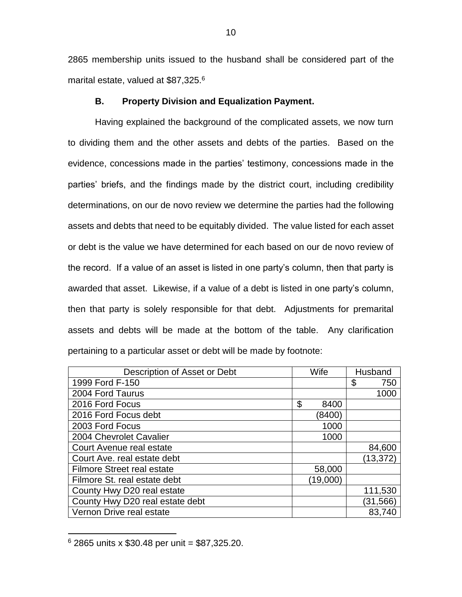2865 membership units issued to the husband shall be considered part of the marital estate, valued at \$87,325.<sup>6</sup>

## **B. Property Division and Equalization Payment.**

Having explained the background of the complicated assets, we now turn to dividing them and the other assets and debts of the parties. Based on the evidence, concessions made in the parties' testimony, concessions made in the parties' briefs, and the findings made by the district court, including credibility determinations, on our de novo review we determine the parties had the following assets and debts that need to be equitably divided. The value listed for each asset or debt is the value we have determined for each based on our de novo review of the record. If a value of an asset is listed in one party's column, then that party is awarded that asset. Likewise, if a value of a debt is listed in one party's column, then that party is solely responsible for that debt. Adjustments for premarital assets and debts will be made at the bottom of the table. Any clarification pertaining to a particular asset or debt will be made by footnote:

| Description of Asset or Debt      | Wife       | Husband   |  |
|-----------------------------------|------------|-----------|--|
| 1999 Ford F-150                   |            | \$<br>750 |  |
| 2004 Ford Taurus                  |            | 1000      |  |
| 2016 Ford Focus                   | \$<br>8400 |           |  |
| 2016 Ford Focus debt              | (8400)     |           |  |
| 2003 Ford Focus                   | 1000       |           |  |
| 2004 Chevrolet Cavalier           | 1000       |           |  |
| Court Avenue real estate          |            | 84,600    |  |
| Court Ave. real estate debt       |            | (13, 372) |  |
| <b>Filmore Street real estate</b> | 58,000     |           |  |
| Filmore St. real estate debt      | (19,000)   |           |  |
| County Hwy D20 real estate        |            | 111,530   |  |
| County Hwy D20 real estate debt   |            | (31, 566) |  |
| Vernon Drive real estate          |            | 83,740    |  |

 $6$  2865 units x \$30.48 per unit = \$87,325.20.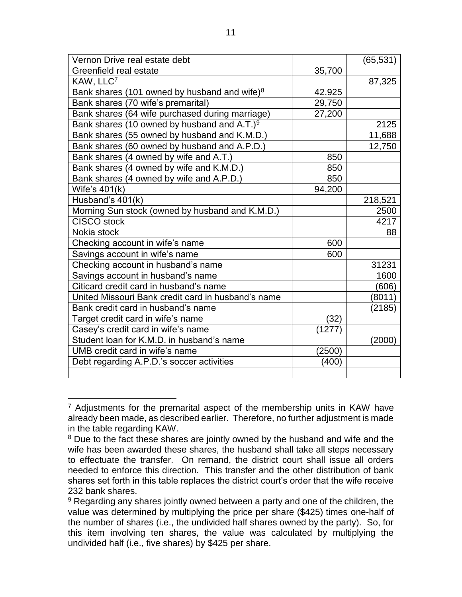| Vernon Drive real estate debt                           |        | (65, 531) |
|---------------------------------------------------------|--------|-----------|
| Greenfield real estate                                  | 35,700 |           |
| KAW, LLC7                                               |        | 87,325    |
| Bank shares (101 owned by husband and wife) $8$         | 42,925 |           |
| Bank shares (70 wife's premarital)                      | 29,750 |           |
| Bank shares (64 wife purchased during marriage)         | 27,200 |           |
| Bank shares (10 owned by husband and A.T.) <sup>9</sup> |        | 2125      |
| Bank shares (55 owned by husband and K.M.D.)            |        | 11,688    |
| Bank shares (60 owned by husband and A.P.D.)            |        | 12,750    |
| Bank shares (4 owned by wife and A.T.)                  | 850    |           |
| Bank shares (4 owned by wife and K.M.D.)                | 850    |           |
| Bank shares (4 owned by wife and A.P.D.)                | 850    |           |
| Wife's $401(k)$                                         | 94,200 |           |
| Husband's 401(k)                                        |        | 218,521   |
| Morning Sun stock (owned by husband and K.M.D.)         |        | 2500      |
| <b>CISCO</b> stock                                      |        | 4217      |
| Nokia stock                                             |        | 88        |
| Checking account in wife's name                         | 600    |           |
| Savings account in wife's name                          | 600    |           |
| Checking account in husband's name                      |        | 31231     |
| Savings account in husband's name                       |        | 1600      |
| Citicard credit card in husband's name                  |        | (606)     |
| United Missouri Bank credit card in husband's name      |        | (8011)    |
| Bank credit card in husband's name                      |        | (2185)    |
| Target credit card in wife's name                       | (32)   |           |
| Casey's credit card in wife's name                      | (1277) |           |
| Student loan for K.M.D. in husband's name               |        | (2000)    |
| UMB credit card in wife's name                          | (2500) |           |
| Debt regarding A.P.D.'s soccer activities               | (400)  |           |
|                                                         |        |           |

 $7$  Adjustments for the premarital aspect of the membership units in KAW have already been made, as described earlier. Therefore, no further adjustment is made in the table regarding KAW.

<sup>&</sup>lt;sup>8</sup> Due to the fact these shares are jointly owned by the husband and wife and the wife has been awarded these shares, the husband shall take all steps necessary to effectuate the transfer. On remand, the district court shall issue all orders needed to enforce this direction. This transfer and the other distribution of bank shares set forth in this table replaces the district court's order that the wife receive 232 bank shares.

<sup>&</sup>lt;sup>9</sup> Regarding any shares jointly owned between a party and one of the children, the value was determined by multiplying the price per share (\$425) times one-half of the number of shares (i.e., the undivided half shares owned by the party). So, for this item involving ten shares, the value was calculated by multiplying the undivided half (i.e., five shares) by \$425 per share.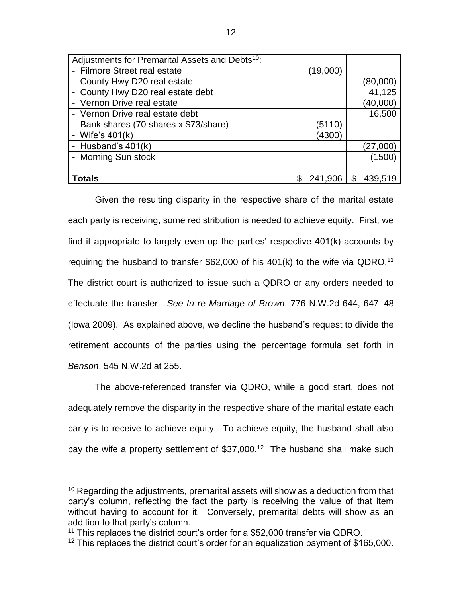| Adjustments for Premarital Assets and Debts <sup>10</sup> : |               |               |
|-------------------------------------------------------------|---------------|---------------|
| - Filmore Street real estate                                | (19,000)      |               |
| - County Hwy D20 real estate                                |               | (80,000)      |
| - County Hwy D20 real estate debt                           |               | 41,125        |
| - Vernon Drive real estate                                  |               | (40,000)      |
| - Vernon Drive real estate debt                             |               | 16,500        |
| - Bank shares (70 shares x \$73/share)                      | (5110)        |               |
| - Wife's $401(k)$                                           | (4300)        |               |
| - Husband's $401(k)$                                        |               | (27,000)      |
| - Morning Sun stock                                         |               | (1500)        |
|                                                             |               |               |
| Totals                                                      | \$<br>241,906 | \$<br>439,519 |

Given the resulting disparity in the respective share of the marital estate each party is receiving, some redistribution is needed to achieve equity. First, we find it appropriate to largely even up the parties' respective 401(k) accounts by requiring the husband to transfer  $$62,000$  of his  $401(k)$  to the wife via QDRO.<sup>11</sup> The district court is authorized to issue such a QDRO or any orders needed to effectuate the transfer. *See In re Marriage of Brown*, 776 N.W.2d 644, 647–48 (Iowa 2009). As explained above, we decline the husband's request to divide the retirement accounts of the parties using the percentage formula set forth in *Benson*, 545 N.W.2d at 255.

The above-referenced transfer via QDRO, while a good start, does not adequately remove the disparity in the respective share of the marital estate each party is to receive to achieve equity. To achieve equity, the husband shall also pay the wife a property settlement of \$37,000.<sup>12</sup> The husband shall make such

<sup>&</sup>lt;sup>10</sup> Regarding the adjustments, premarital assets will show as a deduction from that party's column, reflecting the fact the party is receiving the value of that item without having to account for it. Conversely, premarital debts will show as an addition to that party's column.

<sup>&</sup>lt;sup>11</sup> This replaces the district court's order for a \$52,000 transfer via QDRO.

<sup>&</sup>lt;sup>12</sup> This replaces the district court's order for an equalization payment of \$165,000.